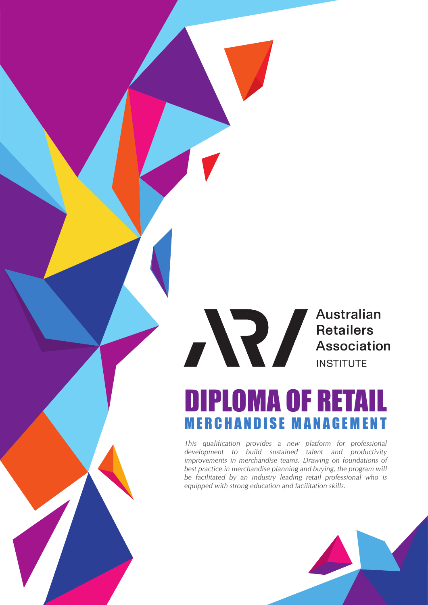# Australian Australian<br>Retailers<br>Association<br>INSTITUTE **INSTITUTE**

# DIPLOMA OF RETAIL MERCHANDISE MAN AGEMENT

*This qualification provides a new platform for professional development to build sustained talent and productivity improvements in merchandise teams. Drawing on foundations of best practice in merchandise planning and buying, the program will be facilitated by an industry leading retail professional who is equipped with strong education and facilitation skills.*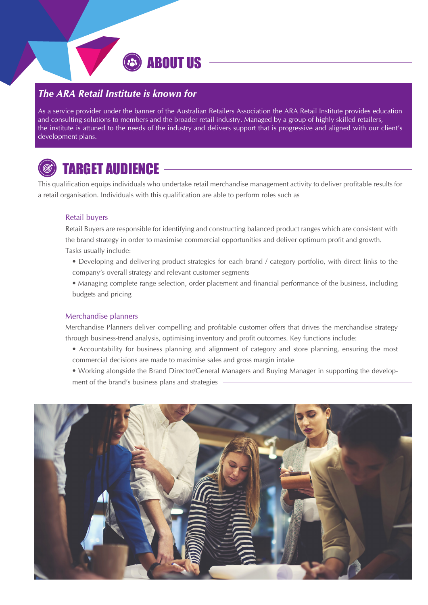### *The ARA Retail Institute is known for*

As a service provider under the banner of the Australian Retailers Association the ARA Retail Institute provides education and consulting solutions to members and the broader retail industry. Managed by a group of highly skilled retailers, the institute is attuned to the needs of the industry and delivers support that is progressive and aligned with our client's development plans.

ABOUT US



# TARGET AUDIENCE

This qualification equips individuals who undertake retail merchandise management activity to deliver profitable results for a retail organisation. Individuals with this qualification are able to perform roles such as

#### Retail buyers

Retail Buyers are responsible for identifying and constructing balanced product ranges which are consistent with the brand strategy in order to maximise commercial opportunities and deliver optimum profit and growth. Tasks usually include:

- Developing and delivering product strategies for each brand / category portfolio, with direct links to the company's overall strategy and relevant customer segments
- Managing complete range selection, order placement and financial performance of the business, including budgets and pricing

#### Merchandise planners

Merchandise Planners deliver compelling and profitable customer offers that drives the merchandise strategy through business-trend analysis, optimising inventory and profit outcomes. Key functions include:

- Accountability for business planning and alignment of category and store planning, ensuring the most commercial decisions are made to maximise sales and gross margin intake
- Working alongside the Brand Director/General Managers and Buying Manager in supporting the development of the brand's business plans and strategies

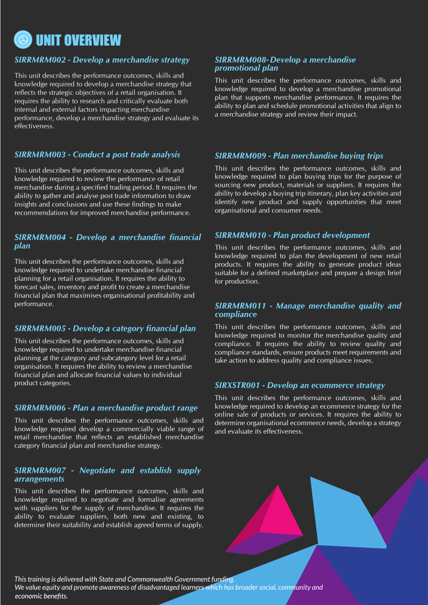

#### *SIRRMRM002 - Develop a merchandise strategy*

This unit describes the performance outcomes, skills and knowledge required to develop a merchandise strategy that reflects the strategic objectives of a retail organisation. It requires the ability to research and critically evaluate both internal and external factors impacting merchandise performance, develop a merchandise strategy and evaluate its effectiveness.

#### *SIRRMRM003 - Conduct a post trade analysis*

This unit describes the performance outcomes, skills and knowledge required to review the performance of retail merchandise during a specified trading period. It requires the ability to gather and analyse post trade information to draw insights and conclusions and use these findings to make recommendations for improved merchandise performance.

#### *SIRRMRM004 - Develop a merchandise financial plan*

This unit describes the performance outcomes, skills and knowledge required to undertake merchandise financial planning for a retail organisation. It requires the ability to forecast sales, inventory and profit to create a merchandise financial plan that maximises organisational profitability and performance.

#### *SIRRMRM005 - Develop a category financial plan*

This unit describes the performance outcomes, skills and knowledge required to undertake merchandise financial planning at the category and subcategory level for a retail organisation. It requires the ability to review a merchandise financial plan and allocate financial values to individual product categories.

#### *SIRRMRM006 - Plan a merchandise product range*

This unit describes the performance outcomes, skills and knowledge required develop a commercially viable range of retail merchandise that reflects an established merchandise category financial plan and merchandise strategy.

#### *SIRRMRM007 - Negotiate and establish supply arrangements*

This unit describes the performance outcomes, skills and knowledge required to negotiate and formalise agreements with suppliers for the supply of merchandise. It requires the ability to evaluate suppliers, both new and existing, to determine their suitability and establish agreed terms of supply.

#### *SIRRMRM008 - Develop a merchandise promotional plan*

This unit describes the performance outcomes, skills and knowledge required to develop a merchandise promotional plan that supports merchandise performance. It requires the ability to plan and schedule promotional activities that align to a merchandise strategy and review their impact.

#### *SIRRMRM009 - Plan merchandise buying trips*

This unit describes the performance outcomes, skills and knowledge required to plan buying trips for the purpose of sourcing new product, materials or suppliers. It requires the ability to develop a buying trip itinerary, plan key activities and identify new product and supply opportunities that meet organisational and consumer needs.

#### *SIRRMRM010 - Plan product development*

This unit describes the performance outcomes, skills and knowledge required to plan the development of new retail products. It requires the ability to generate product ideas suitable for a defined marketplace and prepare a design brief for production.

#### *SIRRMRM011 - Manage merchandise quality and compliance*

This unit describes the performance outcomes, skills and knowledge required to monitor the merchandise quality and compliance. It requires the ability to review quality and compliance standards, ensure products meet requirements and take action to address quality and compliance issues.

#### *SIRXSTR001 - Develop an ecommerce strategy*

This unit describes the performance outcomes, skills and knowledge required to develop an ecommerce strategy for the online sale of products or services. It requires the ability to determine organisational ecommerce needs, develop a strategy and evaluate its effectiveness.

*This training is delivered with State and Commonwealth Government funding.* 

*We value equity and promote awareness of disadvantaged learners which has broader social, community and* economic benefits.